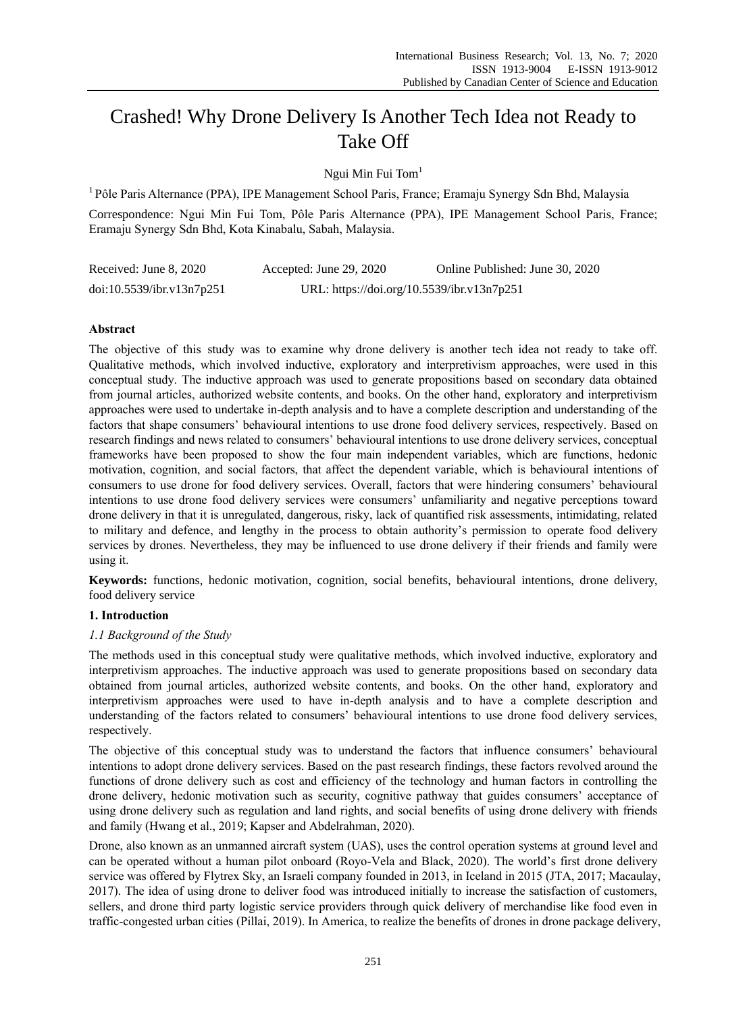# Crashed! Why Drone Delivery Is Another Tech Idea not Ready to Take Off

Ngui Min Fui Tom<sup>1</sup>

<sup>1</sup> Pôle Paris Alternance (PPA), IPE Management School Paris, France; Eramaju Synergy Sdn Bhd, Malaysia

Correspondence: Ngui Min Fui Tom, Pôle Paris Alternance (PPA), IPE Management School Paris, France; Eramaju Synergy Sdn Bhd, Kota Kinabalu, Sabah, Malaysia.

| Received: June 8, 2020    | Accepted: June 29, 2020                    | Online Published: June 30, 2020 |
|---------------------------|--------------------------------------------|---------------------------------|
| doi:10.5539/ibr.v13n7p251 | URL: https://doi.org/10.5539/ibr.v13n7p251 |                                 |

# **Abstract**

The objective of this study was to examine why drone delivery is another tech idea not ready to take off. Qualitative methods, which involved inductive, exploratory and interpretivism approaches, were used in this conceptual study. The inductive approach was used to generate propositions based on secondary data obtained from journal articles, authorized website contents, and books. On the other hand, exploratory and interpretivism approaches were used to undertake in-depth analysis and to have a complete description and understanding of the factors that shape consumers' behavioural intentions to use drone food delivery services, respectively. Based on research findings and news related to consumers' behavioural intentions to use drone delivery services, conceptual frameworks have been proposed to show the four main independent variables, which are functions, hedonic motivation, cognition, and social factors, that affect the dependent variable, which is behavioural intentions of consumers to use drone for food delivery services. Overall, factors that were hindering consumers' behavioural intentions to use drone food delivery services were consumers' unfamiliarity and negative perceptions toward drone delivery in that it is unregulated, dangerous, risky, lack of quantified risk assessments, intimidating, related to military and defence, and lengthy in the process to obtain authority's permission to operate food delivery services by drones. Nevertheless, they may be influenced to use drone delivery if their friends and family were using it.

**Keywords:** functions, hedonic motivation, cognition, social benefits, behavioural intentions, drone delivery, food delivery service

# **1. Introduction**

# *1.1 Background of the Study*

The methods used in this conceptual study were qualitative methods, which involved inductive, exploratory and interpretivism approaches. The inductive approach was used to generate propositions based on secondary data obtained from journal articles, authorized website contents, and books. On the other hand, exploratory and interpretivism approaches were used to have in-depth analysis and to have a complete description and understanding of the factors related to consumers' behavioural intentions to use drone food delivery services, respectively.

The objective of this conceptual study was to understand the factors that influence consumers' behavioural intentions to adopt drone delivery services. Based on the past research findings, these factors revolved around the functions of drone delivery such as cost and efficiency of the technology and human factors in controlling the drone delivery, hedonic motivation such as security, cognitive pathway that guides consumers' acceptance of using drone delivery such as regulation and land rights, and social benefits of using drone delivery with friends and family (Hwang et al., 2019; Kapser and Abdelrahman, 2020).

Drone, also known as an unmanned aircraft system (UAS), uses the control operation systems at ground level and can be operated without a human pilot onboard (Royo-Vela and Black, 2020). The world's first drone delivery service was offered by Flytrex Sky, an Israeli company founded in 2013, in Iceland in 2015 (JTA, 2017; Macaulay, 2017). The idea of using drone to deliver food was introduced initially to increase the satisfaction of customers, sellers, and drone third party logistic service providers through quick delivery of merchandise like food even in traffic-congested urban cities (Pillai, 2019). In America, to realize the benefits of drones in drone package delivery,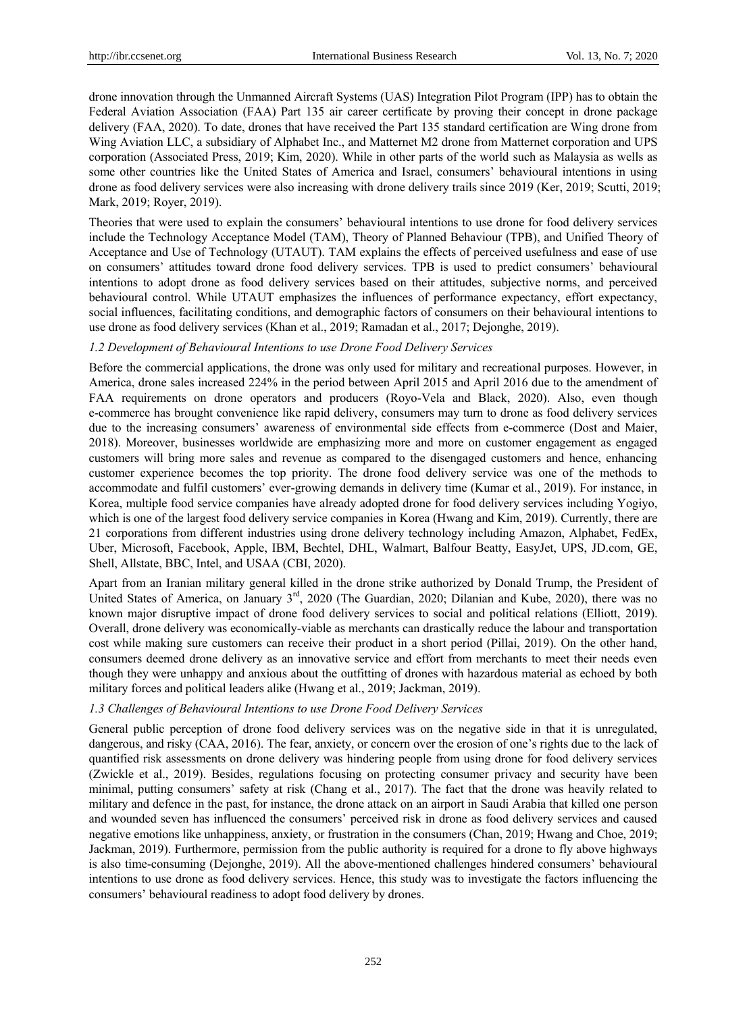drone innovation through the Unmanned Aircraft Systems (UAS) Integration Pilot Program (IPP) has to obtain the Federal Aviation Association (FAA) Part 135 air career certificate by proving their concept in drone package delivery (FAA, 2020). To date, drones that have received the Part 135 standard certification are Wing drone from Wing Aviation LLC, a subsidiary of Alphabet Inc., and Matternet M2 drone from Matternet corporation and UPS corporation (Associated Press, 2019; Kim, 2020). While in other parts of the world such as Malaysia as wells as some other countries like the United States of America and Israel, consumers' behavioural intentions in using drone as food delivery services were also increasing with drone delivery trails since 2019 (Ker, 2019; Scutti, 2019; Mark, 2019; Royer, 2019).

Theories that were used to explain the consumers' behavioural intentions to use drone for food delivery services include the Technology Acceptance Model (TAM), Theory of Planned Behaviour (TPB), and Unified Theory of Acceptance and Use of Technology (UTAUT). TAM explains the effects of perceived usefulness and ease of use on consumers' attitudes toward drone food delivery services. TPB is used to predict consumers' behavioural intentions to adopt drone as food delivery services based on their attitudes, subjective norms, and perceived behavioural control. While UTAUT emphasizes the influences of performance expectancy, effort expectancy, social influences, facilitating conditions, and demographic factors of consumers on their behavioural intentions to use drone as food delivery services (Khan et al., 2019; Ramadan et al., 2017; Dejonghe, 2019).

## *1.2 Development of Behavioural Intentions to use Drone Food Delivery Services*

Before the commercial applications, the drone was only used for military and recreational purposes. However, in America, drone sales increased 224% in the period between April 2015 and April 2016 due to the amendment of FAA requirements on drone operators and producers (Royo-Vela and Black, 2020). Also, even though e-commerce has brought convenience like rapid delivery, consumers may turn to drone as food delivery services due to the increasing consumers' awareness of environmental side effects from e-commerce (Dost and Maier, 2018). Moreover, businesses worldwide are emphasizing more and more on customer engagement as engaged customers will bring more sales and revenue as compared to the disengaged customers and hence, enhancing customer experience becomes the top priority. The drone food delivery service was one of the methods to accommodate and fulfil customers' ever-growing demands in delivery time (Kumar et al., 2019). For instance, in Korea, multiple food service companies have already adopted drone for food delivery services including Yogiyo, which is one of the largest food delivery service companies in Korea (Hwang and Kim, 2019). Currently, there are 21 corporations from different industries using drone delivery technology including Amazon, Alphabet, FedEx, Uber, Microsoft, Facebook, Apple, IBM, Bechtel, DHL, Walmart, Balfour Beatty, EasyJet, UPS, JD.com, GE, Shell, Allstate, BBC, Intel, and USAA (CBI, 2020).

Apart from an Iranian military general killed in the drone strike authorized by Donald Trump, the President of United States of America, on January  $3<sup>rd</sup>$ , 2020 (The Guardian, 2020; Dilanian and Kube, 2020), there was no known major disruptive impact of drone food delivery services to social and political relations (Elliott, 2019). Overall, drone delivery was economically-viable as merchants can drastically reduce the labour and transportation cost while making sure customers can receive their product in a short period (Pillai, 2019). On the other hand, consumers deemed drone delivery as an innovative service and effort from merchants to meet their needs even though they were unhappy and anxious about the outfitting of drones with hazardous material as echoed by both military forces and political leaders alike (Hwang et al., 2019; Jackman, 2019).

#### *1.3 Challenges of Behavioural Intentions to use Drone Food Delivery Services*

General public perception of drone food delivery services was on the negative side in that it is unregulated, dangerous, and risky (CAA, 2016). The fear, anxiety, or concern over the erosion of one's rights due to the lack of quantified risk assessments on drone delivery was hindering people from using drone for food delivery services (Zwickle et al., 2019). Besides, regulations focusing on protecting consumer privacy and security have been minimal, putting consumers' safety at risk (Chang et al., 2017). The fact that the drone was heavily related to military and defence in the past, for instance, the drone attack on an airport in Saudi Arabia that killed one person and wounded seven has influenced the consumers' perceived risk in drone as food delivery services and caused negative emotions like unhappiness, anxiety, or frustration in the consumers (Chan, 2019; Hwang and Choe, 2019; Jackman, 2019). Furthermore, permission from the public authority is required for a drone to fly above highways is also time-consuming (Dejonghe, 2019). All the above-mentioned challenges hindered consumers' behavioural intentions to use drone as food delivery services. Hence, this study was to investigate the factors influencing the consumers' behavioural readiness to adopt food delivery by drones.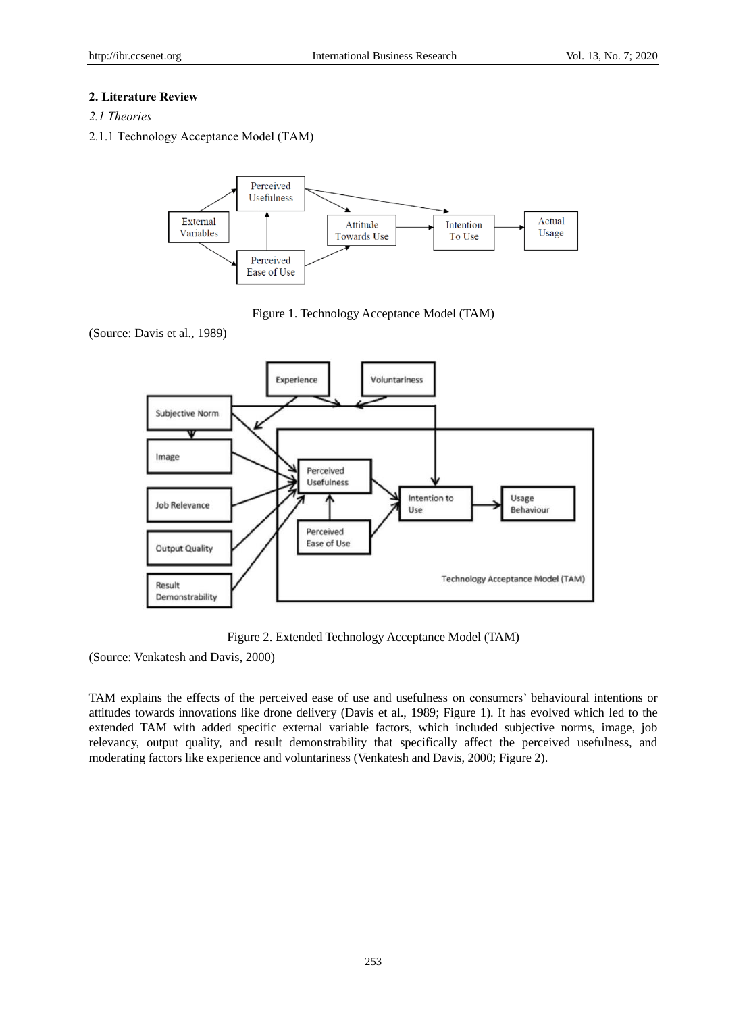# **2. Literature Review**

- *2.1 Theories*
- 2.1.1 Technology Acceptance Model (TAM)



Figure 1. Technology Acceptance Model (TAM)

(Source: Davis et al., 1989)



Figure 2. Extended Technology Acceptance Model (TAM)

(Source: Venkatesh and Davis, 2000)

TAM explains the effects of the perceived ease of use and usefulness on consumers' behavioural intentions or attitudes towards innovations like drone delivery (Davis et al., 1989; Figure 1). It has evolved which led to the extended TAM with added specific external variable factors, which included subjective norms, image, job relevancy, output quality, and result demonstrability that specifically affect the perceived usefulness, and moderating factors like experience and voluntariness (Venkatesh and Davis, 2000; Figure 2).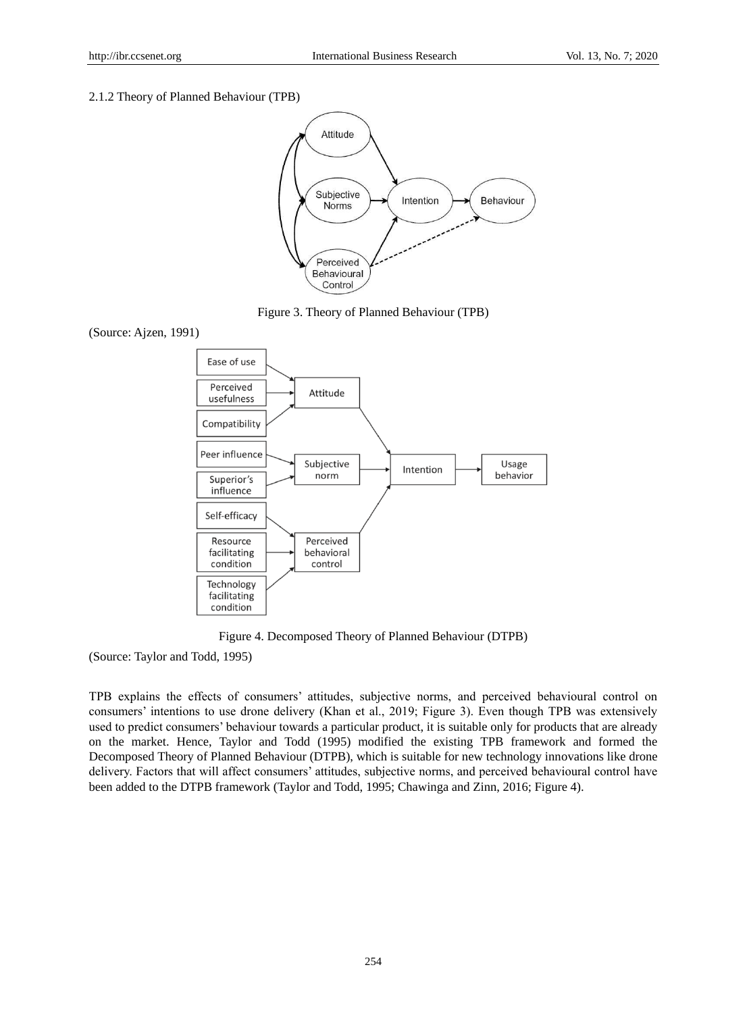#### 2.1.2 Theory of Planned Behaviour (TPB)



Figure 3. Theory of Planned Behaviour (TPB)





Figure 4. Decomposed Theory of Planned Behaviour (DTPB)

(Source: Taylor and Todd, 1995)

TPB explains the effects of consumers' attitudes, subjective norms, and perceived behavioural control on consumers' intentions to use drone delivery (Khan et al., 2019; Figure 3). Even though TPB was extensively used to predict consumers' behaviour towards a particular product, it is suitable only for products that are already on the market. Hence, Taylor and Todd (1995) modified the existing TPB framework and formed the Decomposed Theory of Planned Behaviour (DTPB), which is suitable for new technology innovations like drone delivery. Factors that will affect consumers' attitudes, subjective norms, and perceived behavioural control have been added to the DTPB framework (Taylor and Todd, 1995; Chawinga and Zinn, 2016; Figure 4).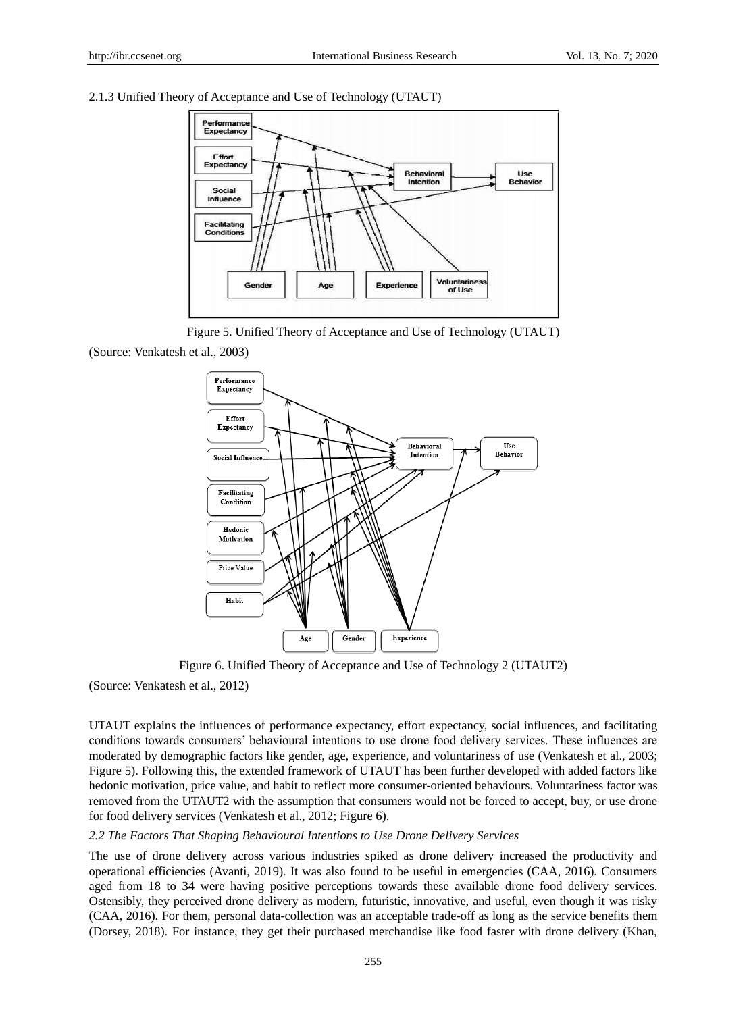#### 2.1.3 Unified Theory of Acceptance and Use of Technology (UTAUT)



Figure 5. Unified Theory of Acceptance and Use of Technology (UTAUT)

(Source: Venkatesh et al., 2003)



Figure 6. Unified Theory of Acceptance and Use of Technology 2 (UTAUT2)

(Source: Venkatesh et al., 2012)

UTAUT explains the influences of performance expectancy, effort expectancy, social influences, and facilitating conditions towards consumers' behavioural intentions to use drone food delivery services. These influences are moderated by demographic factors like gender, age, experience, and voluntariness of use (Venkatesh et al., 2003; Figure 5). Following this, the extended framework of UTAUT has been further developed with added factors like hedonic motivation, price value, and habit to reflect more consumer-oriented behaviours. Voluntariness factor was removed from the UTAUT2 with the assumption that consumers would not be forced to accept, buy, or use drone for food delivery services (Venkatesh et al., 2012; Figure 6).

#### *2.2 The Factors That Shaping Behavioural Intentions to Use Drone Delivery Services*

The use of drone delivery across various industries spiked as drone delivery increased the productivity and operational efficiencies (Avanti, 2019). It was also found to be useful in emergencies (CAA, 2016). Consumers aged from 18 to 34 were having positive perceptions towards these available drone food delivery services. Ostensibly, they perceived drone delivery as modern, futuristic, innovative, and useful, even though it was risky (CAA, 2016). For them, personal data-collection was an acceptable trade-off as long as the service benefits them (Dorsey, 2018). For instance, they get their purchased merchandise like food faster with drone delivery (Khan,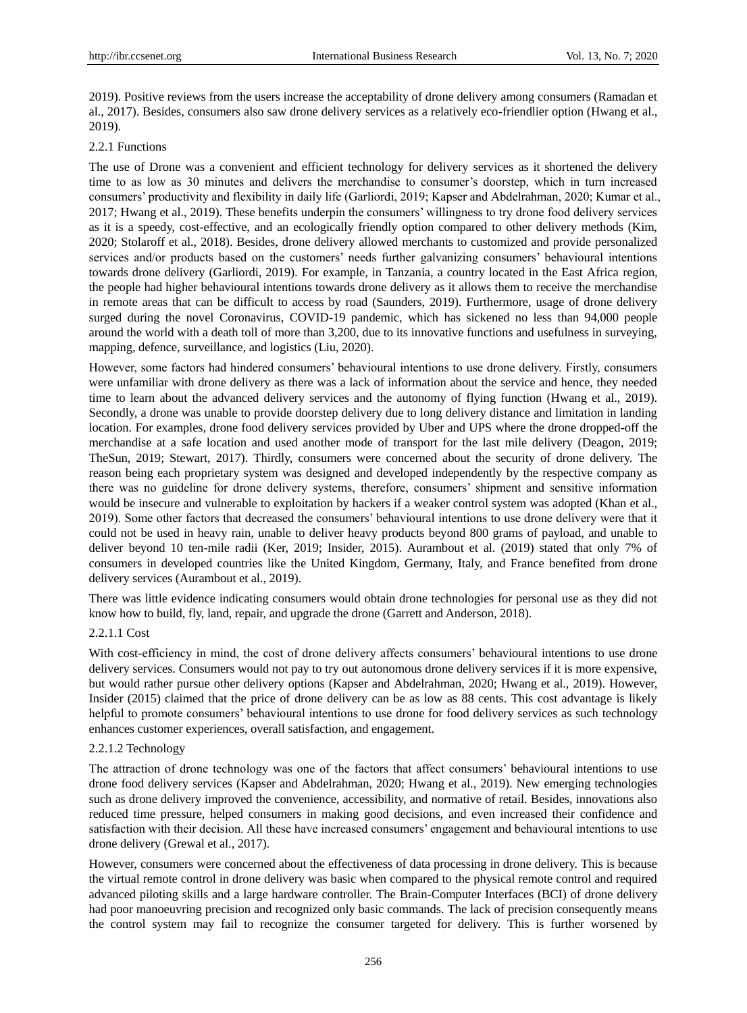2019). Positive reviews from the users increase the acceptability of drone delivery among consumers (Ramadan et al., 2017). Besides, consumers also saw drone delivery services as a relatively eco-friendlier option (Hwang et al., 2019).

## 2.2.1 Functions

The use of Drone was a convenient and efficient technology for delivery services as it shortened the delivery time to as low as 30 minutes and delivers the merchandise to consumer's doorstep, which in turn increased consumers' productivity and flexibility in daily life (Garliordi, 2019; Kapser and Abdelrahman, 2020; Kumar et al., 2017; Hwang et al., 2019). These benefits underpin the consumers' willingness to try drone food delivery services as it is a speedy, cost-effective, and an ecologically friendly option compared to other delivery methods (Kim, 2020; Stolaroff et al., 2018). Besides, drone delivery allowed merchants to customized and provide personalized services and/or products based on the customers' needs further galvanizing consumers' behavioural intentions towards drone delivery (Garliordi, 2019). For example, in Tanzania, a country located in the East Africa region, the people had higher behavioural intentions towards drone delivery as it allows them to receive the merchandise in remote areas that can be difficult to access by road (Saunders, 2019). Furthermore, usage of drone delivery surged during the novel Coronavirus, COVID-19 pandemic, which has sickened no less than 94,000 people around the world with a death toll of more than 3,200, due to its innovative functions and usefulness in surveying, mapping, defence, surveillance, and logistics (Liu, 2020).

However, some factors had hindered consumers' behavioural intentions to use drone delivery. Firstly, consumers were unfamiliar with drone delivery as there was a lack of information about the service and hence, they needed time to learn about the advanced delivery services and the autonomy of flying function (Hwang et al., 2019). Secondly, a drone was unable to provide doorstep delivery due to long delivery distance and limitation in landing location. For examples, drone food delivery services provided by Uber and UPS where the drone dropped-off the merchandise at a safe location and used another mode of transport for the last mile delivery (Deagon, 2019; TheSun, 2019; Stewart, 2017). Thirdly, consumers were concerned about the security of drone delivery. The reason being each proprietary system was designed and developed independently by the respective company as there was no guideline for drone delivery systems, therefore, consumers' shipment and sensitive information would be insecure and vulnerable to exploitation by hackers if a weaker control system was adopted (Khan et al., 2019). Some other factors that decreased the consumers' behavioural intentions to use drone delivery were that it could not be used in heavy rain, unable to deliver heavy products beyond 800 grams of payload, and unable to deliver beyond 10 ten-mile radii (Ker, 2019; Insider, 2015). Aurambout et al. (2019) stated that only 7% of consumers in developed countries like the United Kingdom, Germany, Italy, and France benefited from drone delivery services (Aurambout et al., 2019).

There was little evidence indicating consumers would obtain drone technologies for personal use as they did not know how to build, fly, land, repair, and upgrade the drone (Garrett and Anderson, 2018).

# 2.2.1.1 Cost

With cost-efficiency in mind, the cost of drone delivery affects consumers' behavioural intentions to use drone delivery services. Consumers would not pay to try out autonomous drone delivery services if it is more expensive, but would rather pursue other delivery options (Kapser and Abdelrahman, 2020; Hwang et al., 2019). However, Insider (2015) claimed that the price of drone delivery can be as low as 88 cents. This cost advantage is likely helpful to promote consumers' behavioural intentions to use drone for food delivery services as such technology enhances customer experiences, overall satisfaction, and engagement.

#### 2.2.1.2 Technology

The attraction of drone technology was one of the factors that affect consumers' behavioural intentions to use drone food delivery services (Kapser and Abdelrahman, 2020; Hwang et al., 2019). New emerging technologies such as drone delivery improved the convenience, accessibility, and normative of retail. Besides, innovations also reduced time pressure, helped consumers in making good decisions, and even increased their confidence and satisfaction with their decision. All these have increased consumers' engagement and behavioural intentions to use drone delivery (Grewal et al., 2017).

However, consumers were concerned about the effectiveness of data processing in drone delivery. This is because the virtual remote control in drone delivery was basic when compared to the physical remote control and required advanced piloting skills and a large hardware controller. The Brain-Computer Interfaces (BCI) of drone delivery had poor manoeuvring precision and recognized only basic commands. The lack of precision consequently means the control system may fail to recognize the consumer targeted for delivery. This is further worsened by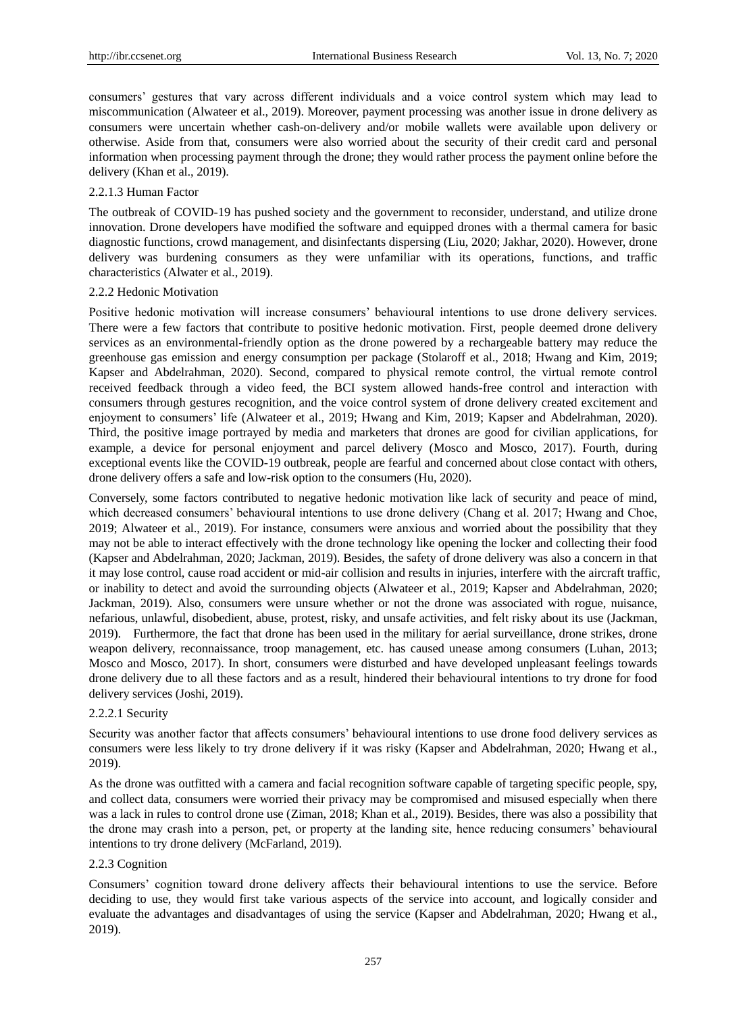consumers' gestures that vary across different individuals and a voice control system which may lead to miscommunication (Alwateer et al., 2019). Moreover, payment processing was another issue in drone delivery as consumers were uncertain whether cash-on-delivery and/or mobile wallets were available upon delivery or otherwise. Aside from that, consumers were also worried about the security of their credit card and personal information when processing payment through the drone; they would rather process the payment online before the delivery (Khan et al., 2019).

## 2.2.1.3 Human Factor

The outbreak of COVID-19 has pushed society and the government to reconsider, understand, and utilize drone innovation. Drone developers have modified the software and equipped drones with a thermal camera for basic diagnostic functions, crowd management, and disinfectants dispersing (Liu, 2020; Jakhar, 2020). However, drone delivery was burdening consumers as they were unfamiliar with its operations, functions, and traffic characteristics (Alwater et al., 2019).

#### 2.2.2 Hedonic Motivation

Positive hedonic motivation will increase consumers' behavioural intentions to use drone delivery services. There were a few factors that contribute to positive hedonic motivation. First, people deemed drone delivery services as an environmental-friendly option as the drone powered by a rechargeable battery may reduce the greenhouse gas emission and energy consumption per package (Stolaroff et al., 2018; Hwang and Kim, 2019; Kapser and Abdelrahman, 2020). Second, compared to physical remote control, the virtual remote control received feedback through a video feed, the BCI system allowed hands-free control and interaction with consumers through gestures recognition, and the voice control system of drone delivery created excitement and enjoyment to consumers' life (Alwateer et al., 2019; Hwang and Kim, 2019; Kapser and Abdelrahman, 2020). Third, the positive image portrayed by media and marketers that drones are good for civilian applications, for example, a device for personal enjoyment and parcel delivery (Mosco and Mosco, 2017). Fourth, during exceptional events like the COVID-19 outbreak, people are fearful and concerned about close contact with others, drone delivery offers a safe and low-risk option to the consumers (Hu, 2020).

Conversely, some factors contributed to negative hedonic motivation like lack of security and peace of mind, which decreased consumers' behavioural intentions to use drone delivery (Chang et al. 2017; Hwang and Choe, 2019; Alwateer et al., 2019). For instance, consumers were anxious and worried about the possibility that they may not be able to interact effectively with the drone technology like opening the locker and collecting their food (Kapser and Abdelrahman, 2020; Jackman, 2019). Besides, the safety of drone delivery was also a concern in that it may lose control, cause road accident or mid-air collision and results in injuries, interfere with the aircraft traffic, or inability to detect and avoid the surrounding objects (Alwateer et al., 2019; Kapser and Abdelrahman, 2020; Jackman, 2019). Also, consumers were unsure whether or not the drone was associated with rogue, nuisance, nefarious, unlawful, disobedient, abuse, protest, risky, and unsafe activities, and felt risky about its use (Jackman, 2019). Furthermore, the fact that drone has been used in the military for aerial surveillance, drone strikes, drone weapon delivery, reconnaissance, troop management, etc. has caused unease among consumers (Luhan, 2013; Mosco and Mosco, 2017). In short, consumers were disturbed and have developed unpleasant feelings towards drone delivery due to all these factors and as a result, hindered their behavioural intentions to try drone for food delivery services (Joshi, 2019).

#### 2.2.2.1 Security

Security was another factor that affects consumers' behavioural intentions to use drone food delivery services as consumers were less likely to try drone delivery if it was risky (Kapser and Abdelrahman, 2020; Hwang et al., 2019).

As the drone was outfitted with a camera and facial recognition software capable of targeting specific people, spy, and collect data, consumers were worried their privacy may be compromised and misused especially when there was a lack in rules to control drone use (Ziman, 2018; Khan et al., 2019). Besides, there was also a possibility that the drone may crash into a person, pet, or property at the landing site, hence reducing consumers' behavioural intentions to try drone delivery (McFarland, 2019).

# 2.2.3 Cognition

Consumers' cognition toward drone delivery affects their behavioural intentions to use the service. Before deciding to use, they would first take various aspects of the service into account, and logically consider and evaluate the advantages and disadvantages of using the service (Kapser and Abdelrahman, 2020; Hwang et al., 2019).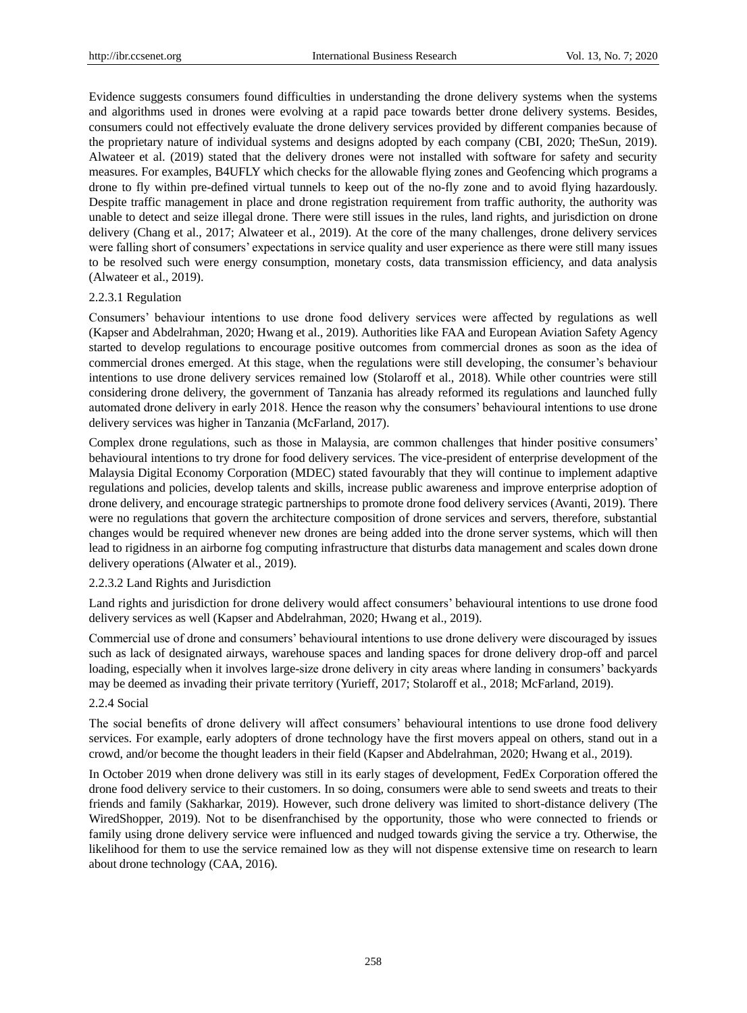Evidence suggests consumers found difficulties in understanding the drone delivery systems when the systems and algorithms used in drones were evolving at a rapid pace towards better drone delivery systems. Besides, consumers could not effectively evaluate the drone delivery services provided by different companies because of the proprietary nature of individual systems and designs adopted by each company (CBI, 2020; TheSun, 2019). Alwateer et al. (2019) stated that the delivery drones were not installed with software for safety and security measures. For examples, B4UFLY which checks for the allowable flying zones and Geofencing which programs a drone to fly within pre-defined virtual tunnels to keep out of the no-fly zone and to avoid flying hazardously. Despite traffic management in place and drone registration requirement from traffic authority, the authority was unable to detect and seize illegal drone. There were still issues in the rules, land rights, and jurisdiction on drone delivery (Chang et al., 2017; Alwateer et al., 2019). At the core of the many challenges, drone delivery services were falling short of consumers' expectations in service quality and user experience as there were still many issues to be resolved such were energy consumption, monetary costs, data transmission efficiency, and data analysis (Alwateer et al., 2019).

## 2.2.3.1 Regulation

Consumers' behaviour intentions to use drone food delivery services were affected by regulations as well (Kapser and Abdelrahman, 2020; Hwang et al., 2019). Authorities like FAA and European Aviation Safety Agency started to develop regulations to encourage positive outcomes from commercial drones as soon as the idea of commercial drones emerged. At this stage, when the regulations were still developing, the consumer's behaviour intentions to use drone delivery services remained low (Stolaroff et al., 2018). While other countries were still considering drone delivery, the government of Tanzania has already reformed its regulations and launched fully automated drone delivery in early 2018. Hence the reason why the consumers' behavioural intentions to use drone delivery services was higher in Tanzania (McFarland, 2017).

Complex drone regulations, such as those in Malaysia, are common challenges that hinder positive consumers' behavioural intentions to try drone for food delivery services. The vice-president of enterprise development of the Malaysia Digital Economy Corporation (MDEC) stated favourably that they will continue to implement adaptive regulations and policies, develop talents and skills, increase public awareness and improve enterprise adoption of drone delivery, and encourage strategic partnerships to promote drone food delivery services (Avanti, 2019). There were no regulations that govern the architecture composition of drone services and servers, therefore, substantial changes would be required whenever new drones are being added into the drone server systems, which will then lead to rigidness in an airborne fog computing infrastructure that disturbs data management and scales down drone delivery operations (Alwater et al., 2019).

#### 2.2.3.2 Land Rights and Jurisdiction

Land rights and jurisdiction for drone delivery would affect consumers' behavioural intentions to use drone food delivery services as well (Kapser and Abdelrahman, 2020; Hwang et al., 2019).

Commercial use of drone and consumers' behavioural intentions to use drone delivery were discouraged by issues such as lack of designated airways, warehouse spaces and landing spaces for drone delivery drop-off and parcel loading, especially when it involves large-size drone delivery in city areas where landing in consumers' backyards may be deemed as invading their private territory (Yurieff, 2017; Stolaroff et al., 2018; McFarland, 2019).

# 2.2.4 Social

The social benefits of drone delivery will affect consumers' behavioural intentions to use drone food delivery services. For example, early adopters of drone technology have the first movers appeal on others, stand out in a crowd, and/or become the thought leaders in their field (Kapser and Abdelrahman, 2020; Hwang et al., 2019).

In October 2019 when drone delivery was still in its early stages of development, FedEx Corporation offered the drone food delivery service to their customers. In so doing, consumers were able to send sweets and treats to their friends and family (Sakharkar, 2019). However, such drone delivery was limited to short-distance delivery (The WiredShopper, 2019). Not to be disenfranchised by the opportunity, those who were connected to friends or family using drone delivery service were influenced and nudged towards giving the service a try. Otherwise, the likelihood for them to use the service remained low as they will not dispense extensive time on research to learn about drone technology (CAA, 2016).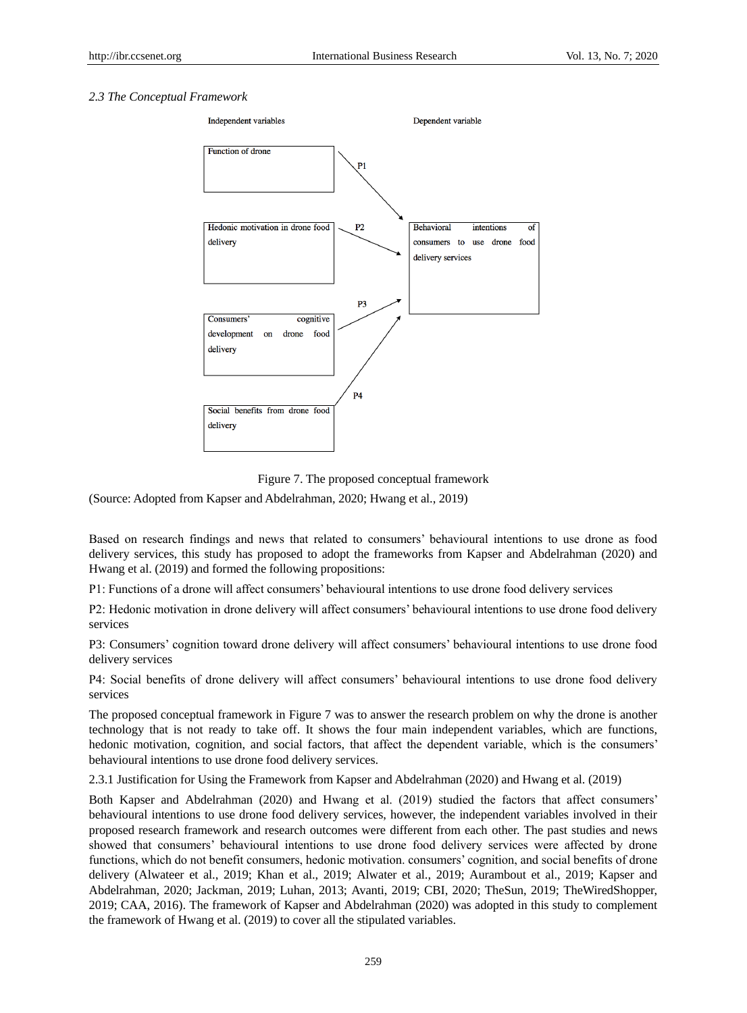## *2.3 The Conceptual Framework*



Figure 7. The proposed conceptual framework

(Source: Adopted from Kapser and Abdelrahman, 2020; Hwang et al., 2019)

Based on research findings and news that related to consumers' behavioural intentions to use drone as food delivery services, this study has proposed to adopt the frameworks from Kapser and Abdelrahman (2020) and Hwang et al. (2019) and formed the following propositions:

P1: Functions of a drone will affect consumers' behavioural intentions to use drone food delivery services

P2: Hedonic motivation in drone delivery will affect consumers' behavioural intentions to use drone food delivery services

P3: Consumers' cognition toward drone delivery will affect consumers' behavioural intentions to use drone food delivery services

P4: Social benefits of drone delivery will affect consumers' behavioural intentions to use drone food delivery services

The proposed conceptual framework in Figure 7 was to answer the research problem on why the drone is another technology that is not ready to take off. It shows the four main independent variables, which are functions, hedonic motivation, cognition, and social factors, that affect the dependent variable, which is the consumers' behavioural intentions to use drone food delivery services.

2.3.1 Justification for Using the Framework from Kapser and Abdelrahman (2020) and Hwang et al. (2019)

Both Kapser and Abdelrahman (2020) and Hwang et al. (2019) studied the factors that affect consumers' behavioural intentions to use drone food delivery services, however, the independent variables involved in their proposed research framework and research outcomes were different from each other. The past studies and news showed that consumers' behavioural intentions to use drone food delivery services were affected by drone functions, which do not benefit consumers, hedonic motivation. consumers' cognition, and social benefits of drone delivery (Alwateer et al., 2019; Khan et al., 2019; Alwater et al., 2019; Aurambout et al., 2019; Kapser and Abdelrahman, 2020; Jackman, 2019; Luhan, 2013; Avanti, 2019; CBI, 2020; TheSun, 2019; TheWiredShopper, 2019; CAA, 2016). The framework of Kapser and Abdelrahman (2020) was adopted in this study to complement the framework of Hwang et al. (2019) to cover all the stipulated variables.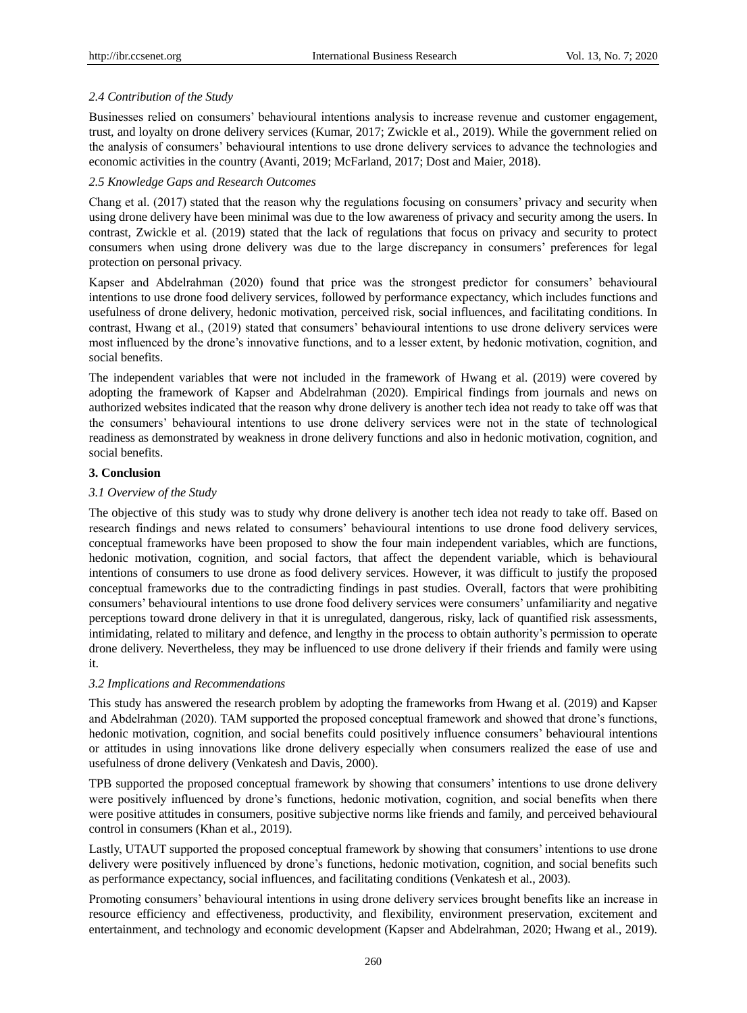# *2.4 Contribution of the Study*

Businesses relied on consumers' behavioural intentions analysis to increase revenue and customer engagement, trust, and loyalty on drone delivery services (Kumar, 2017; Zwickle et al., 2019). While the government relied on the analysis of consumers' behavioural intentions to use drone delivery services to advance the technologies and economic activities in the country (Avanti, 2019; McFarland, 2017; Dost and Maier, 2018).

# *2.5 Knowledge Gaps and Research Outcomes*

Chang et al. (2017) stated that the reason why the regulations focusing on consumers' privacy and security when using drone delivery have been minimal was due to the low awareness of privacy and security among the users. In contrast, Zwickle et al. (2019) stated that the lack of regulations that focus on privacy and security to protect consumers when using drone delivery was due to the large discrepancy in consumers' preferences for legal protection on personal privacy.

Kapser and Abdelrahman (2020) found that price was the strongest predictor for consumers' behavioural intentions to use drone food delivery services, followed by performance expectancy, which includes functions and usefulness of drone delivery, hedonic motivation, perceived risk, social influences, and facilitating conditions. In contrast, Hwang et al., (2019) stated that consumers' behavioural intentions to use drone delivery services were most influenced by the drone's innovative functions, and to a lesser extent, by hedonic motivation, cognition, and social benefits.

The independent variables that were not included in the framework of Hwang et al. (2019) were covered by adopting the framework of Kapser and Abdelrahman (2020). Empirical findings from journals and news on authorized websites indicated that the reason why drone delivery is another tech idea not ready to take off was that the consumers' behavioural intentions to use drone delivery services were not in the state of technological readiness as demonstrated by weakness in drone delivery functions and also in hedonic motivation, cognition, and social benefits.

# **3. Conclusion**

# *3.1 Overview of the Study*

The objective of this study was to study why drone delivery is another tech idea not ready to take off. Based on research findings and news related to consumers' behavioural intentions to use drone food delivery services, conceptual frameworks have been proposed to show the four main independent variables, which are functions, hedonic motivation, cognition, and social factors, that affect the dependent variable, which is behavioural intentions of consumers to use drone as food delivery services. However, it was difficult to justify the proposed conceptual frameworks due to the contradicting findings in past studies. Overall, factors that were prohibiting consumers' behavioural intentions to use drone food delivery services were consumers' unfamiliarity and negative perceptions toward drone delivery in that it is unregulated, dangerous, risky, lack of quantified risk assessments, intimidating, related to military and defence, and lengthy in the process to obtain authority's permission to operate drone delivery. Nevertheless, they may be influenced to use drone delivery if their friends and family were using it.

# *3.2 Implications and Recommendations*

This study has answered the research problem by adopting the frameworks from Hwang et al. (2019) and Kapser and Abdelrahman (2020). TAM supported the proposed conceptual framework and showed that drone's functions, hedonic motivation, cognition, and social benefits could positively influence consumers' behavioural intentions or attitudes in using innovations like drone delivery especially when consumers realized the ease of use and usefulness of drone delivery (Venkatesh and Davis, 2000).

TPB supported the proposed conceptual framework by showing that consumers' intentions to use drone delivery were positively influenced by drone's functions, hedonic motivation, cognition, and social benefits when there were positive attitudes in consumers, positive subjective norms like friends and family, and perceived behavioural control in consumers (Khan et al., 2019).

Lastly, UTAUT supported the proposed conceptual framework by showing that consumers' intentions to use drone delivery were positively influenced by drone's functions, hedonic motivation, cognition, and social benefits such as performance expectancy, social influences, and facilitating conditions (Venkatesh et al., 2003).

Promoting consumers' behavioural intentions in using drone delivery services brought benefits like an increase in resource efficiency and effectiveness, productivity, and flexibility, environment preservation, excitement and entertainment, and technology and economic development (Kapser and Abdelrahman, 2020; Hwang et al., 2019).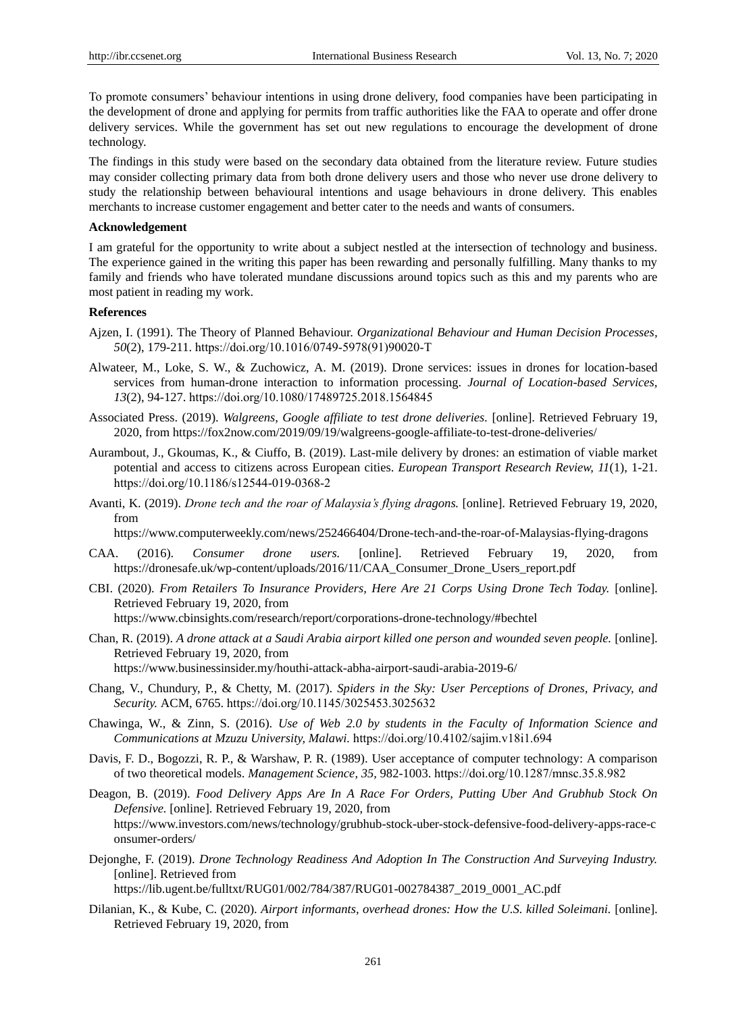To promote consumers' behaviour intentions in using drone delivery, food companies have been participating in the development of drone and applying for permits from traffic authorities like the FAA to operate and offer drone delivery services. While the government has set out new regulations to encourage the development of drone technology.

The findings in this study were based on the secondary data obtained from the literature review. Future studies may consider collecting primary data from both drone delivery users and those who never use drone delivery to study the relationship between behavioural intentions and usage behaviours in drone delivery. This enables merchants to increase customer engagement and better cater to the needs and wants of consumers.

#### **Acknowledgement**

I am grateful for the opportunity to write about a subject nestled at the intersection of technology and business. The experience gained in the writing this paper has been rewarding and personally fulfilling. Many thanks to my family and friends who have tolerated mundane discussions around topics such as this and my parents who are most patient in reading my work.

#### **References**

- Ajzen, I. (1991). The Theory of Planned Behaviour. *Organizational Behaviour and Human Decision Processes, 50*(2), 179-211. [https://doi.org/10.1016/0749-5978\(91\)90020-T](https://doi.org/10.1016/0749-5978(91)90020-T)
- Alwateer, M., Loke, S. W., & Zuchowicz, A. M. (2019). Drone services: issues in drones for location-based services from human-drone interaction to information processing. *Journal of Location-based Services, 13*(2), 94-127. <https://doi.org/10.1080/17489725.2018.1564845>
- Associated Press. (2019). *Walgreens, Google affiliate to test drone deliveries.* [online]. Retrieved February 19, 2020, from https://fox2now.com/2019/09/19/walgreens-google-affiliate-to-test-drone-deliveries/
- Aurambout, J., Gkoumas, K., & Ciuffo, B. (2019). Last-mile delivery by drones: an estimation of viable market potential and access to citizens across European cities. *European Transport Research Review, 11*(1), 1-21. <https://doi.org/10.1186/s12544-019-0368-2>
- Avanti, K. (2019). *Drone tech and the roar of Malaysia's flying dragons.* [online]. Retrieved February 19, 2020, from

https://www.computerweekly.com/news/252466404/Drone-tech-and-the-roar-of-Malaysias-flying-dragons

- CAA. (2016). *Consumer drone users.* [online]. Retrieved February 19, 2020, from https://dronesafe.uk/wp-content/uploads/2016/11/CAA\_Consumer\_Drone\_Users\_report.pdf
- CBI. (2020). *From Retailers To Insurance Providers, Here Are 21 Corps Using Drone Tech Today.* [online]. Retrieved February 19, 2020, from https://www.cbinsights.com/research/report/corporations-drone-technology/#bechtel
- Chan, R. (2019). *A drone attack at a Saudi Arabia airport killed one person and wounded seven people.* [online]. Retrieved February 19, 2020, from https://www.businessinsider.my/houthi-attack-abha-airport-saudi-arabia-2019-6/
- Chang, V., Chundury, P., & Chetty, M. (2017). *Spiders in the Sky: User Perceptions of Drones, Privacy, and Security.* ACM, 6765. <https://doi.org/10.1145/3025453.3025632>
- Chawinga, W., & Zinn, S. (2016). *Use of Web 2.0 by students in the Faculty of Information Science and Communications at Mzuzu University, Malawi.* <https://doi.org/10.4102/sajim.v18i1.694>
- Davis, F. D., Bogozzi, R. P., & Warshaw, P. R. (1989). User acceptance of computer technology: A comparison of two theoretical models. *Management Science, 35,* 982-1003. <https://doi.org/10.1287/mnsc.35.8.982>
- Deagon, B. (2019). *Food Delivery Apps Are In A Race For Orders, Putting Uber And Grubhub Stock On Defensive.* [online]. Retrieved February 19, 2020, from https://www.investors.com/news/technology/grubhub-stock-uber-stock-defensive-food-delivery-apps-race-c onsumer-orders/
- Dejonghe, F. (2019). *Drone Technology Readiness And Adoption In The Construction And Surveying Industry.*  [online]. Retrieved from

https://lib.ugent.be/fulltxt/RUG01/002/784/387/RUG01-002784387\_2019\_0001\_AC.pdf

Dilanian, K., & Kube, C. (2020). *Airport informants, overhead drones: How the U.S. killed Soleimani.* [online]. Retrieved February 19, 2020, from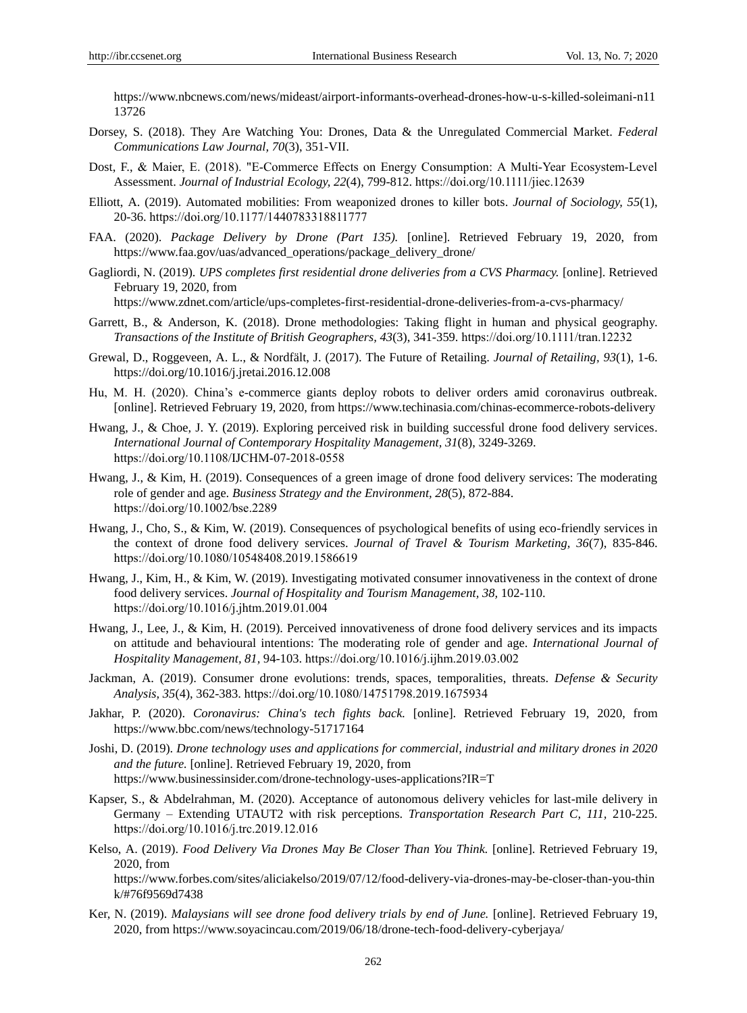https://www.nbcnews.com/news/mideast/airport-informants-overhead-drones-how-u-s-killed-soleimani-n11 13726

- Dorsey, S. (2018). They Are Watching You: Drones, Data & the Unregulated Commercial Market. *Federal Communications Law Journal, 70*(3), 351-VII.
- Dost, F., & Maier, E. (2018). "E-Commerce Effects on Energy Consumption: A Multi-Year Ecosystem-Level Assessment. *Journal of Industrial Ecology, 22*(4), 799-812. <https://doi.org/10.1111/jiec.12639>
- Elliott, A. (2019). Automated mobilities: From weaponized drones to killer bots. *Journal of Sociology, 55*(1), 20-36. <https://doi.org/10.1177/1440783318811777>
- FAA. (2020). *Package Delivery by Drone (Part 135).* [online]. Retrieved February 19, 2020, from https://www.faa.gov/uas/advanced\_operations/package\_delivery\_drone/
- Gagliordi, N. (2019). *UPS completes first residential drone deliveries from a CVS Pharmacy.* [online]. Retrieved February 19, 2020, from

https://www.zdnet.com/article/ups-completes-first-residential-drone-deliveries-from-a-cvs-pharmacy/

- Garrett, B., & Anderson, K. (2018). Drone methodologies: Taking flight in human and physical geography. *Transactions of the Institute of British Geographers, 43*(3), 341-359. <https://doi.org/10.1111/tran.12232>
- Grewal, D., Roggeveen, A. L., & Nordfält, J. (2017). The Future of Retailing. *Journal of Retailing, 93*(1), 1-6. https://doi.org/10.1016/j.jretai.2016.12.008
- Hu, M. H. (2020). China's e-commerce giants deploy robots to deliver orders amid coronavirus outbreak. [online]. Retrieved February 19, 2020, from https://www.techinasia.com/chinas-ecommerce-robots-delivery
- Hwang, J., & Choe, J. Y. (2019). Exploring perceived risk in building successful drone food delivery services. *International Journal of Contemporary Hospitality Management, 31*(8), 3249-3269. <https://doi.org/10.1108/IJCHM-07-2018-0558>
- Hwang, J., & Kim, H. (2019). Consequences of a green image of drone food delivery services: The moderating role of gender and age. *Business Strategy and the Environment, 28*(5), 872-884. <https://doi.org/10.1002/bse.2289>
- Hwang, J., Cho, S., & Kim, W. (2019). Consequences of psychological benefits of using eco-friendly services in the context of drone food delivery services. *Journal of Travel & Tourism Marketing, 36*(7), 835-846. <https://doi.org/10.1080/10548408.2019.1586619>
- Hwang, J., Kim, H., & Kim, W. (2019). Investigating motivated consumer innovativeness in the context of drone food delivery services. *Journal of Hospitality and Tourism Management, 38,* 102-110. <https://doi.org/10.1016/j.jhtm.2019.01.004>
- Hwang, J., Lee, J., & Kim, H. (2019). Perceived innovativeness of drone food delivery services and its impacts on attitude and behavioural intentions: The moderating role of gender and age. *International Journal of Hospitality Management, 81,* 94-103. <https://doi.org/10.1016/j.ijhm.2019.03.002>
- Jackman, A. (2019). Consumer drone evolutions: trends, spaces, temporalities, threats. *Defense & Security Analysis, 35*(4), 362-383. <https://doi.org/10.1080/14751798.2019.1675934>
- Jakhar, P. (2020). *Coronavirus: China's tech fights back.* [online]. Retrieved February 19, 2020, from https://www.bbc.com/news/technology-51717164
- Joshi, D. (2019). *Drone technology uses and applications for commercial, industrial and military drones in 2020 and the future.* [online]. Retrieved February 19, 2020, from https://www.businessinsider.com/drone-technology-uses-applications?IR=T
- Kapser, S., & Abdelrahman, M. (2020). Acceptance of autonomous delivery vehicles for last-mile delivery in Germany – Extending UTAUT2 with risk perceptions. *Transportation Research Part C, 111,* 210-225. <https://doi.org/10.1016/j.trc.2019.12.016>
- Kelso, A. (2019). *Food Delivery Via Drones May Be Closer Than You Think.* [online]. Retrieved February 19, 2020, from

https://www.forbes.com/sites/aliciakelso/2019/07/12/food-delivery-via-drones-may-be-closer-than-you-thin k/#76f9569d7438

Ker, N. (2019). *Malaysians will see drone food delivery trials by end of June.* [online]. Retrieved February 19, 2020, from https://www.soyacincau.com/2019/06/18/drone-tech-food-delivery-cyberjaya/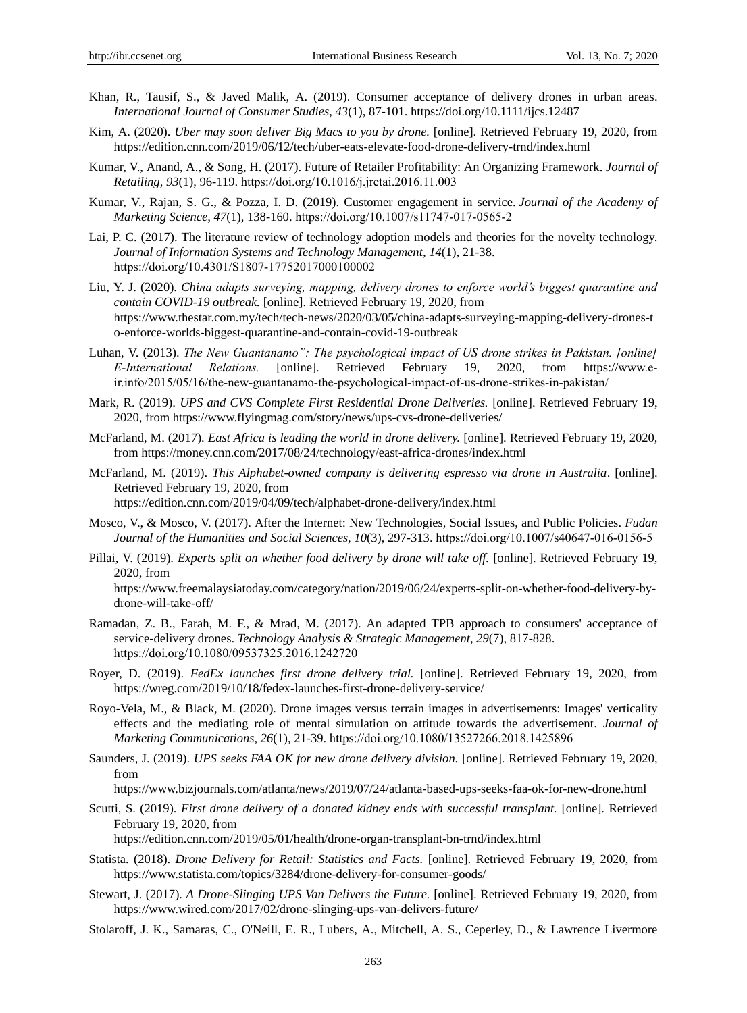- Khan, R., Tausif, S., & Javed Malik, A. (2019). Consumer acceptance of delivery drones in urban areas. *International Journal of Consumer Studies, 43*(1), 87-101[. https://doi.org/10.1111/ijcs.12487](https://doi.org/10.1111/ijcs.12487)
- Kim, A. (2020). *Uber may soon deliver Big Macs to you by drone.* [online]. Retrieved February 19, 2020, from https://edition.cnn.com/2019/06/12/tech/uber-eats-elevate-food-drone-delivery-trnd/index.html
- Kumar, V., Anand, A., & Song, H. (2017). Future of Retailer Profitability: An Organizing Framework. *Journal of Retailing, 93*(1), 96-119. <https://doi.org/10.1016/j.jretai.2016.11.003>
- Kumar, V., Rajan, S. G., & Pozza, I. D. (2019). Customer engagement in service. *Journal of the Academy of Marketing Science, 47*(1), 138-160. <https://doi.org/10.1007/s11747-017-0565-2>
- Lai, P. C. (2017). The literature review of technology adoption models and theories for the novelty technology. *Journal of Information Systems and Technology Management, 14*(1), 21-38. <https://doi.org/10.4301/S1807-17752017000100002>
- Liu, Y. J. (2020). *China adapts surveying, mapping, delivery drones to enforce world's biggest quarantine and contain COVID-19 outbreak.* [online]. Retrieved February 19, 2020, from https://www.thestar.com.my/tech/tech-news/2020/03/05/china-adapts-surveying-mapping-delivery-drones-t o-enforce-worlds-biggest-quarantine-and-contain-covid-19-outbreak
- Luhan, V. (2013). *The New Guantanamo": The psychological impact of US drone strikes in Pakistan. [online] E‐International Relations.* [online]. Retrieved February 19, 2020, from https://www.e‐ ir.info/2015/05/16/the‐new‐guantanamo‐the‐psychological‐impact‐of‐us‐drone‐strikes‐in‐pakistan/
- Mark, R. (2019). *UPS and CVS Complete First Residential Drone Deliveries.* [online]. Retrieved February 19, 2020, from https://www.flyingmag.com/story/news/ups-cvs-drone-deliveries/
- McFarland, M. (2017). *East Africa is leading the world in drone delivery.* [online]. Retrieved February 19, 2020, from https://money.cnn.com/2017/08/24/technology/east-africa-drones/index.html
- McFarland, M. (2019). *This Alphabet-owned company is delivering espresso via drone in Australia*. [online]. Retrieved February 19, 2020, from https://edition.cnn.com/2019/04/09/tech/alphabet-drone-delivery/index.html
- Mosco, V., & Mosco, V. (2017). After the Internet: New Technologies, Social Issues, and Public Policies. *Fudan Journal of the Humanities and Social Sciences, 10*(3), 297-313. <https://doi.org/10.1007/s40647-016-0156-5>
- Pillai, V. (2019). *Experts split on whether food delivery by drone will take off.* [online]. Retrieved February 19, 2020, from

https://www.freemalaysiatoday.com/category/nation/2019/06/24/experts-split-on-whether-food-delivery-bydrone-will-take-off/

- Ramadan, Z. B., Farah, M. F., & Mrad, M. (2017). An adapted TPB approach to consumers' acceptance of service-delivery drones. *Technology Analysis & Strategic Management, 29*(7), 817-828. <https://doi.org/10.1080/09537325.2016.1242720>
- Royer, D. (2019). *FedEx launches first drone delivery trial.* [online]. Retrieved February 19, 2020, from https://wreg.com/2019/10/18/fedex-launches-first-drone-delivery-service/
- Royo-Vela, M., & Black, M. (2020). Drone images versus terrain images in advertisements: Images' verticality effects and the mediating role of mental simulation on attitude towards the advertisement. *Journal of Marketing Communications, 26*(1), 21-39. <https://doi.org/10.1080/13527266.2018.1425896>
- Saunders, J. (2019). *UPS seeks FAA OK for new drone delivery division.* [online]. Retrieved February 19, 2020, from

https://www.bizjournals.com/atlanta/news/2019/07/24/atlanta-based-ups-seeks-faa-ok-for-new-drone.html

Scutti, S. (2019). *First drone delivery of a donated kidney ends with successful transplant.* [online]. Retrieved February 19, 2020, from

https://edition.cnn.com/2019/05/01/health/drone-organ-transplant-bn-trnd/index.html

- Statista. (2018). *Drone Delivery for Retail: Statistics and Facts.* [online]. Retrieved February 19, 2020, from https://www.statista.com/topics/3284/drone-delivery-for-consumer-goods/
- Stewart, J. (2017). *A Drone-Slinging UPS Van Delivers the Future.* [online]. Retrieved February 19, 2020, from https://www.wired.com/2017/02/drone-slinging-ups-van-delivers-future/
- Stolaroff, J. K., Samaras, C., O'Neill, E. R., Lubers, A., Mitchell, A. S., Ceperley, D., & Lawrence Livermore